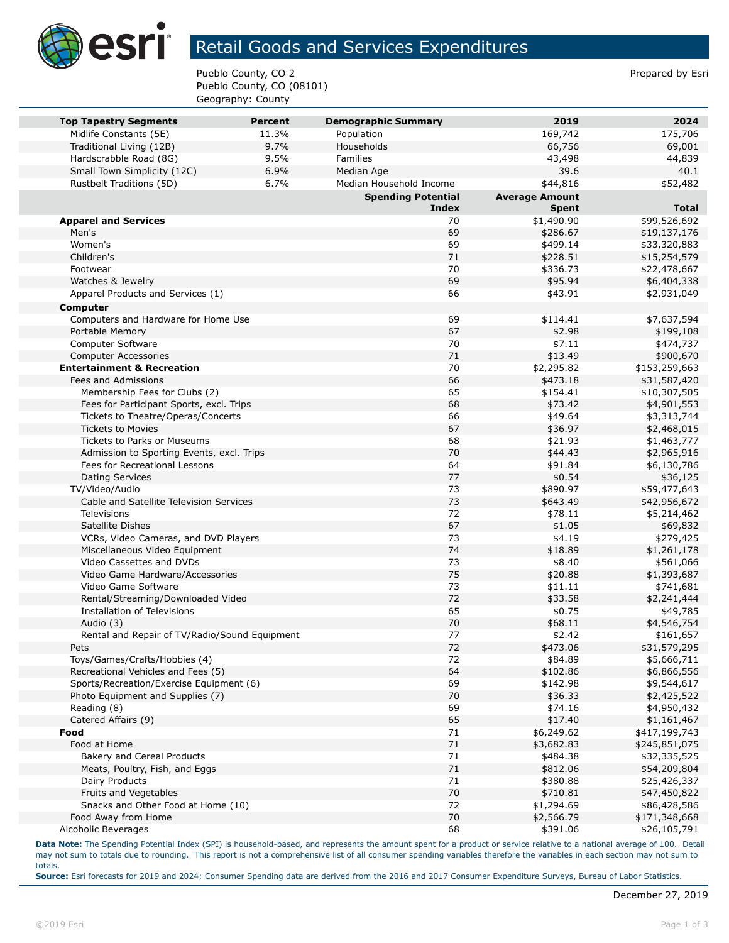

## Retail Goods and Services Expenditures

Pueblo County, CO 2 Prepared by Esri Pueblo County, CO (08101) Geography: County

| <b>Top Tapestry Segments</b>                                                   | Percent | <b>Demographic Summary</b> | 2019                   | 2024                         |
|--------------------------------------------------------------------------------|---------|----------------------------|------------------------|------------------------------|
| Midlife Constants (5E)                                                         | 11.3%   | Population                 | 169,742                | 175,706                      |
| Traditional Living (12B)                                                       | 9.7%    | Households                 | 66,756                 | 69,001                       |
| Hardscrabble Road (8G)                                                         | 9.5%    | Families                   | 43,498                 | 44,839                       |
| Small Town Simplicity (12C)                                                    | 6.9%    | Median Age                 | 39.6                   | 40.1                         |
| Rustbelt Traditions (5D)                                                       | 6.7%    | Median Household Income    | \$44,816               | \$52,482                     |
|                                                                                |         | <b>Spending Potential</b>  | <b>Average Amount</b>  |                              |
|                                                                                |         | <b>Index</b><br>70         | <b>Spent</b>           | <b>Total</b>                 |
| <b>Apparel and Services</b><br>Men's                                           |         | 69                         | \$1,490.90             | \$99,526,692                 |
| Women's                                                                        |         | 69                         | \$286.67<br>\$499.14   | \$19,137,176                 |
| Children's                                                                     |         | 71                         | \$228.51               | \$33,320,883                 |
| Footwear                                                                       |         | 70                         | \$336.73               | \$15,254,579<br>\$22,478,667 |
| Watches & Jewelry                                                              |         | 69                         | \$95.94                | \$6,404,338                  |
| Apparel Products and Services (1)                                              |         | 66                         | \$43.91                | \$2,931,049                  |
|                                                                                |         |                            |                        |                              |
| Computer                                                                       |         | 69                         |                        |                              |
| Computers and Hardware for Home Use                                            |         | 67                         | \$114.41               | \$7,637,594                  |
| Portable Memory                                                                |         | 70                         | \$2.98<br>\$7.11       | \$199,108                    |
| Computer Software                                                              |         | 71                         |                        | \$474,737<br>\$900,670       |
| <b>Computer Accessories</b>                                                    |         | 70                         | \$13.49                |                              |
| <b>Entertainment &amp; Recreation</b><br>Fees and Admissions                   |         | 66                         | \$2,295.82<br>\$473.18 | \$153,259,663                |
| Membership Fees for Clubs (2)                                                  |         | 65                         | \$154.41               | \$31,587,420                 |
|                                                                                |         | 68                         | \$73.42                | \$10,307,505                 |
| Fees for Participant Sports, excl. Trips<br>Tickets to Theatre/Operas/Concerts |         | 66                         | \$49.64                | \$4,901,553                  |
| <b>Tickets to Movies</b>                                                       |         | 67                         | \$36.97                | \$3,313,744<br>\$2,468,015   |
| <b>Tickets to Parks or Museums</b>                                             |         | 68                         | \$21.93                | \$1,463,777                  |
| Admission to Sporting Events, excl. Trips                                      |         | 70                         | \$44.43                | \$2,965,916                  |
| Fees for Recreational Lessons                                                  |         | 64                         | \$91.84                | \$6,130,786                  |
| <b>Dating Services</b>                                                         |         | 77                         | \$0.54                 | \$36,125                     |
| TV/Video/Audio                                                                 |         | 73                         | \$890.97               | \$59,477,643                 |
| Cable and Satellite Television Services                                        |         | 73                         | \$643.49               | \$42,956,672                 |
| <b>Televisions</b>                                                             |         | 72                         | \$78.11                | \$5,214,462                  |
| Satellite Dishes                                                               |         | 67                         | \$1.05                 | \$69,832                     |
| VCRs, Video Cameras, and DVD Players                                           |         | 73                         | \$4.19                 | \$279,425                    |
| Miscellaneous Video Equipment                                                  |         | 74                         | \$18.89                | \$1,261,178                  |
| Video Cassettes and DVDs                                                       |         | 73                         | \$8.40                 | \$561,066                    |
| Video Game Hardware/Accessories                                                |         | 75                         | \$20.88                | \$1,393,687                  |
| Video Game Software                                                            |         | 73                         | \$11.11                | \$741,681                    |
| Rental/Streaming/Downloaded Video                                              |         | 72                         | \$33.58                | \$2,241,444                  |
| Installation of Televisions                                                    |         | 65                         | \$0.75                 | \$49,785                     |
| Audio (3)                                                                      |         | 70                         | \$68.11                | \$4,546,754                  |
| Rental and Repair of TV/Radio/Sound Equipment                                  |         | 77                         | \$2.42                 | \$161,657                    |
| Pets                                                                           |         | 72                         | \$473.06               | \$31,579,295                 |
| Toys/Games/Crafts/Hobbies (4)                                                  |         | 72                         | \$84.89                | \$5,666,711                  |
| Recreational Vehicles and Fees (5)                                             |         | 64                         | \$102.86               | \$6,866,556                  |
| Sports/Recreation/Exercise Equipment (6)                                       |         | 69                         | \$142.98               | \$9,544,617                  |
| Photo Equipment and Supplies (7)                                               |         | 70                         | \$36.33                | \$2,425,522                  |
| Reading (8)                                                                    |         | 69                         | \$74.16                | \$4,950,432                  |
| Catered Affairs (9)                                                            |         | 65                         | \$17.40                | \$1,161,467                  |
| Food                                                                           |         | 71                         | \$6,249.62             | \$417,199,743                |
| Food at Home                                                                   |         | 71                         | \$3,682.83             | \$245,851,075                |
| Bakery and Cereal Products                                                     |         | 71                         | \$484.38               | \$32,335,525                 |
| Meats, Poultry, Fish, and Eggs                                                 |         | 71                         | \$812.06               | \$54,209,804                 |
| Dairy Products                                                                 |         | 71                         | \$380.88               | \$25,426,337                 |
| Fruits and Vegetables                                                          |         | 70                         | \$710.81               | \$47,450,822                 |
| Snacks and Other Food at Home (10)                                             |         | 72                         | \$1,294.69             | \$86,428,586                 |
| Food Away from Home                                                            |         | 70                         | \$2,566.79             | \$171,348,668                |
| Alcoholic Beverages                                                            |         | 68                         | \$391.06               | \$26,105,791                 |

**Data Note:** The Spending Potential Index (SPI) is household-based, and represents the amount spent for a product or service relative to a national average of 100. Detail may not sum to totals due to rounding. This report is not a comprehensive list of all consumer spending variables therefore the variables in each section may not sum to totals.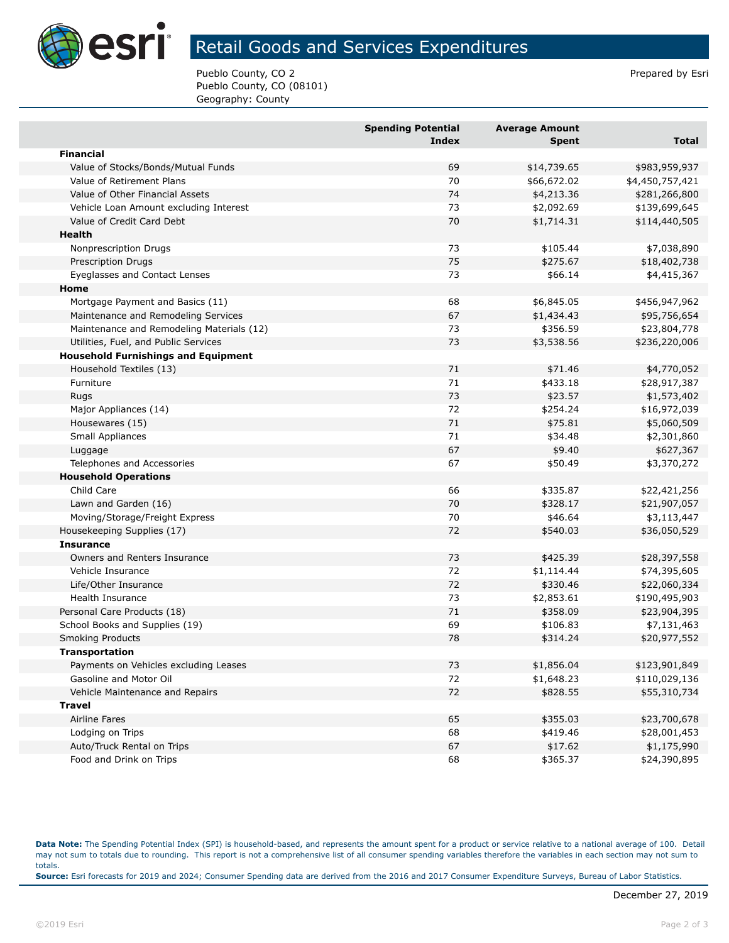

## Retail Goods and Services Expenditures

Pueblo County, CO 2 Prepared by Esri Pueblo County, CO (08101) Geography: County

|                                            | <b>Spending Potential</b><br><b>Index</b> | <b>Average Amount</b><br><b>Spent</b> | <b>Total</b>    |
|--------------------------------------------|-------------------------------------------|---------------------------------------|-----------------|
| <b>Financial</b>                           |                                           |                                       |                 |
| Value of Stocks/Bonds/Mutual Funds         | 69                                        | \$14,739.65                           | \$983,959,937   |
| Value of Retirement Plans                  | 70                                        | \$66,672.02                           | \$4,450,757,421 |
| Value of Other Financial Assets            | 74                                        | \$4,213.36                            | \$281,266,800   |
| Vehicle Loan Amount excluding Interest     | 73                                        | \$2,092.69                            | \$139,699,645   |
| Value of Credit Card Debt                  | 70                                        | \$1,714.31                            | \$114,440,505   |
| Health                                     |                                           |                                       |                 |
| Nonprescription Drugs                      | 73                                        | \$105.44                              | \$7,038,890     |
| <b>Prescription Drugs</b>                  | 75                                        | \$275.67                              | \$18,402,738    |
| Eyeglasses and Contact Lenses              | 73                                        | \$66.14                               | \$4,415,367     |
| Home                                       |                                           |                                       |                 |
| Mortgage Payment and Basics (11)           | 68                                        | \$6,845.05                            | \$456,947,962   |
| Maintenance and Remodeling Services        | 67                                        | \$1,434.43                            | \$95,756,654    |
| Maintenance and Remodeling Materials (12)  | 73                                        | \$356.59                              | \$23,804,778    |
| Utilities, Fuel, and Public Services       | 73                                        | \$3,538.56                            | \$236,220,006   |
| <b>Household Furnishings and Equipment</b> |                                           |                                       |                 |
| Household Textiles (13)                    | 71                                        | \$71.46                               | \$4,770,052     |
| Furniture                                  | 71                                        | \$433.18                              | \$28,917,387    |
| Rugs                                       | 73                                        | \$23.57                               | \$1,573,402     |
| Major Appliances (14)                      | 72                                        | \$254.24                              | \$16,972,039    |
| Housewares (15)                            | 71                                        | \$75.81                               | \$5,060,509     |
| <b>Small Appliances</b>                    | 71                                        | \$34.48                               | \$2,301,860     |
| Luggage                                    | 67                                        | \$9.40                                | \$627,367       |
| Telephones and Accessories                 | 67                                        | \$50.49                               | \$3,370,272     |
| <b>Household Operations</b>                |                                           |                                       |                 |
| Child Care                                 | 66                                        | \$335.87                              | \$22,421,256    |
| Lawn and Garden (16)                       | 70                                        | \$328.17                              | \$21,907,057    |
| Moving/Storage/Freight Express             | 70                                        | \$46.64                               | \$3,113,447     |
| Housekeeping Supplies (17)                 | 72                                        | \$540.03                              | \$36,050,529    |
| <b>Insurance</b>                           |                                           |                                       |                 |
| Owners and Renters Insurance               | 73                                        | \$425.39                              | \$28,397,558    |
| Vehicle Insurance                          | 72                                        | \$1,114.44                            | \$74,395,605    |
| Life/Other Insurance                       | 72                                        | \$330.46                              | \$22,060,334    |
| <b>Health Insurance</b>                    | 73                                        | \$2,853.61                            | \$190,495,903   |
| Personal Care Products (18)                | 71                                        | \$358.09                              | \$23,904,395    |
| School Books and Supplies (19)             | 69                                        | \$106.83                              | \$7,131,463     |
| <b>Smoking Products</b>                    | 78                                        | \$314.24                              | \$20,977,552    |
| <b>Transportation</b>                      |                                           |                                       |                 |
| Payments on Vehicles excluding Leases      | 73                                        | \$1,856.04                            | \$123,901,849   |
| Gasoline and Motor Oil                     | 72                                        | \$1,648.23                            | \$110,029,136   |
| Vehicle Maintenance and Repairs            | 72                                        | \$828.55                              | \$55,310,734    |
| <b>Travel</b>                              |                                           |                                       |                 |
| Airline Fares                              | 65                                        | \$355.03                              | \$23,700,678    |
| Lodging on Trips                           | 68                                        | \$419.46                              | \$28,001,453    |
| Auto/Truck Rental on Trips                 | 67                                        | \$17.62                               | \$1,175,990     |
| Food and Drink on Trips                    | 68                                        | \$365.37                              | \$24,390,895    |

**Data Note:** The Spending Potential Index (SPI) is household-based, and represents the amount spent for a product or service relative to a national average of 100. Detail may not sum to totals due to rounding. This report is not a comprehensive list of all consumer spending variables therefore the variables in each section may not sum to totals. **Source:** Esri forecasts for 2019 and 2024; Consumer Spending data are derived from the 2016 and 2017 Consumer Expenditure Surveys, Bureau of Labor Statistics.